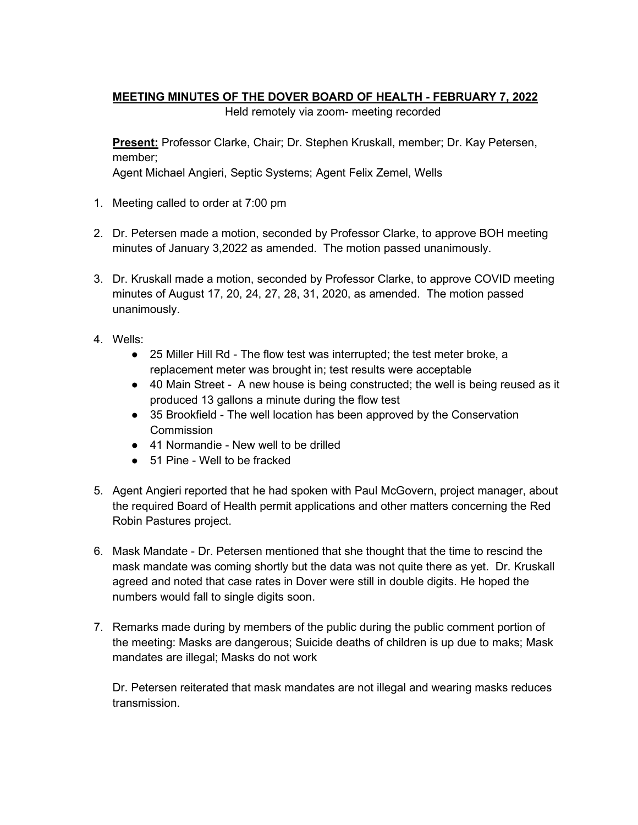## **MEETING MINUTES OF THE DOVER BOARD OF HEALTH - FEBRUARY 7, 2022**

Held remotely via zoom- meeting recorded

**Present:** Professor Clarke, Chair; Dr. Stephen Kruskall, member; Dr. Kay Petersen, member;

Agent Michael Angieri, Septic Systems; Agent Felix Zemel, Wells

- 1. Meeting called to order at 7:00 pm
- 2. Dr. Petersen made a motion, seconded by Professor Clarke, to approve BOH meeting minutes of January 3,2022 as amended. The motion passed unanimously.
- 3. Dr. Kruskall made a motion, seconded by Professor Clarke, to approve COVID meeting minutes of August 17, 20, 24, 27, 28, 31, 2020, as amended. The motion passed unanimously.
- 4. Wells:
	- 25 Miller Hill Rd The flow test was interrupted; the test meter broke, a replacement meter was brought in; test results were acceptable
	- 40 Main Street A new house is being constructed; the well is being reused as it produced 13 gallons a minute during the flow test
	- 35 Brookfield The well location has been approved by the Conservation **Commission**
	- 41 Normandie New well to be drilled
	- 51 Pine Well to be fracked
- 5. Agent Angieri reported that he had spoken with Paul McGovern, project manager, about the required Board of Health permit applications and other matters concerning the Red Robin Pastures project.
- 6. Mask Mandate Dr. Petersen mentioned that she thought that the time to rescind the mask mandate was coming shortly but the data was not quite there as yet. Dr. Kruskall agreed and noted that case rates in Dover were still in double digits. He hoped the numbers would fall to single digits soon.
- 7. Remarks made during by members of the public during the public comment portion of the meeting: Masks are dangerous; Suicide deaths of children is up due to maks; Mask mandates are illegal; Masks do not work

Dr. Petersen reiterated that mask mandates are not illegal and wearing masks reduces transmission.